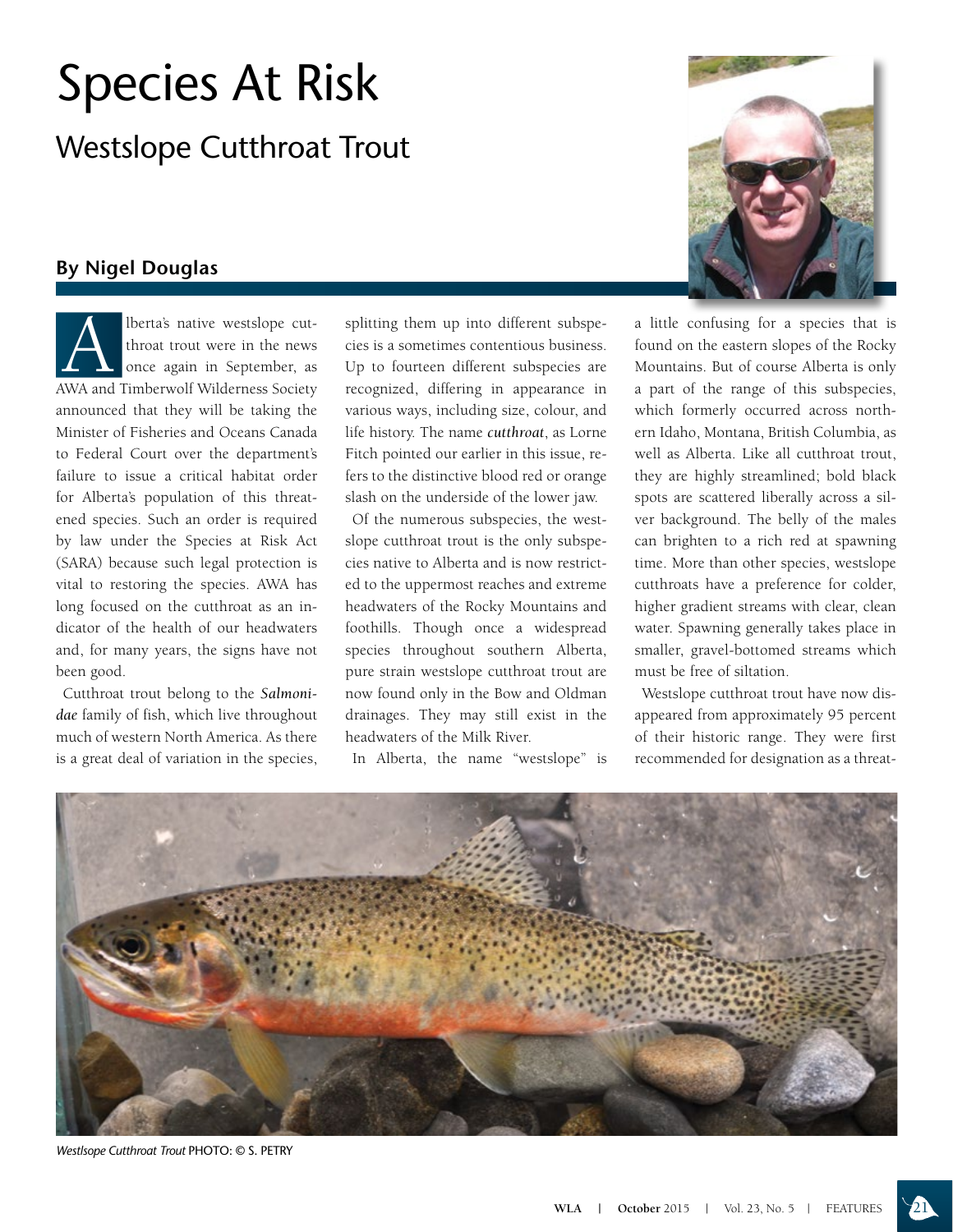## Species At Risk

Westslope Cutthroat Trout

## **By Nigel Douglas**

**Alberta's native westslope cut-**<br>throat trout were in the news<br>once again in September, as throat trout were in the news once again in September, as AWA and Timberwolf Wilderness Society announced that they will be taking the Minister of Fisheries and Oceans Canada to Federal Court over the department's failure to issue a critical habitat order for Alberta's population of this threatened species. Such an order is required by law under the Species at Risk Act (SARA) because such legal protection is vital to restoring the species. AWA has long focused on the cutthroat as an indicator of the health of our headwaters and, for many years, the signs have not been good.

Cutthroat trout belong to the *Salmonidae* family of fish, which live throughout much of western North America. As there is a great deal of variation in the species, splitting them up into different subspecies is a sometimes contentious business. Up to fourteen different subspecies are recognized, differing in appearance in various ways, including size, colour, and life history. The name *cutthroat*, as Lorne Fitch pointed our earlier in this issue, refers to the distinctive blood red or orange slash on the underside of the lower jaw.

Of the numerous subspecies, the westslope cutthroat trout is the only subspecies native to Alberta and is now restricted to the uppermost reaches and extreme headwaters of the Rocky Mountains and foothills. Though once a widespread species throughout southern Alberta, pure strain westslope cutthroat trout are now found only in the Bow and Oldman drainages. They may still exist in the headwaters of the Milk River.

In Alberta, the name "westslope" is



a little confusing for a species that is found on the eastern slopes of the Rocky Mountains. But of course Alberta is only a part of the range of this subspecies, which formerly occurred across northern Idaho, Montana, British Columbia, as well as Alberta. Like all cutthroat trout, they are highly streamlined; bold black spots are scattered liberally across a silver background. The belly of the males can brighten to a rich red at spawning time. More than other species, westslope cutthroats have a preference for colder, higher gradient streams with clear, clean water. Spawning generally takes place in smaller, gravel-bottomed streams which must be free of siltation.

Westslope cutthroat trout have now disappeared from approximately 95 percent of their historic range. They were first recommended for designation as a threat-



*Westlsope Cutthroat Trout* PHOTO: © S. PETRY